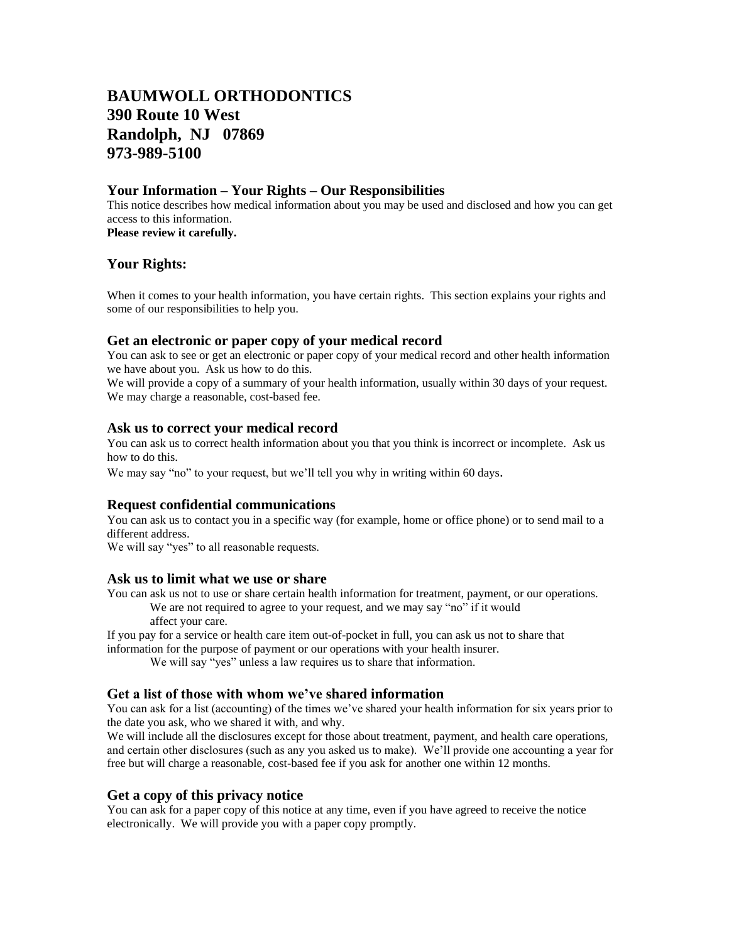# **BAUMWOLL ORTHODONTICS 390 Route 10 West Randolph, NJ 07869 973-989-5100**

## **Your Information – Your Rights – Our Responsibilities**

This notice describes how medical information about you may be used and disclosed and how you can get access to this information.

**Please review it carefully.**

## **Your Rights:**

When it comes to your health information, you have certain rights. This section explains your rights and some of our responsibilities to help you.

## **Get an electronic or paper copy of your medical record**

You can ask to see or get an electronic or paper copy of your medical record and other health information we have about you. Ask us how to do this.

We will provide a copy of a summary of your health information, usually within 30 days of your request. We may charge a reasonable, cost-based fee.

#### **Ask us to correct your medical record**

You can ask us to correct health information about you that you think is incorrect or incomplete. Ask us how to do this.

We may say "no" to your request, but we'll tell you why in writing within 60 days.

## **Request confidential communications**

You can ask us to contact you in a specific way (for example, home or office phone) or to send mail to a different address.

We will say "yes" to all reasonable requests.

#### **Ask us to limit what we use or share**

You can ask us not to use or share certain health information for treatment, payment, or our operations.

We are not required to agree to your request, and we may say "no" if it would affect your care.

If you pay for a service or health care item out-of-pocket in full, you can ask us not to share that

information for the purpose of payment or our operations with your health insurer.

We will say "yes" unless a law requires us to share that information.

## **Get a list of those with whom we've shared information**

You can ask for a list (accounting) of the times we've shared your health information for six years prior to the date you ask, who we shared it with, and why.

We will include all the disclosures except for those about treatment, payment, and health care operations, and certain other disclosures (such as any you asked us to make). We'll provide one accounting a year for free but will charge a reasonable, cost-based fee if you ask for another one within 12 months.

## **Get a copy of this privacy notice**

You can ask for a paper copy of this notice at any time, even if you have agreed to receive the notice electronically. We will provide you with a paper copy promptly.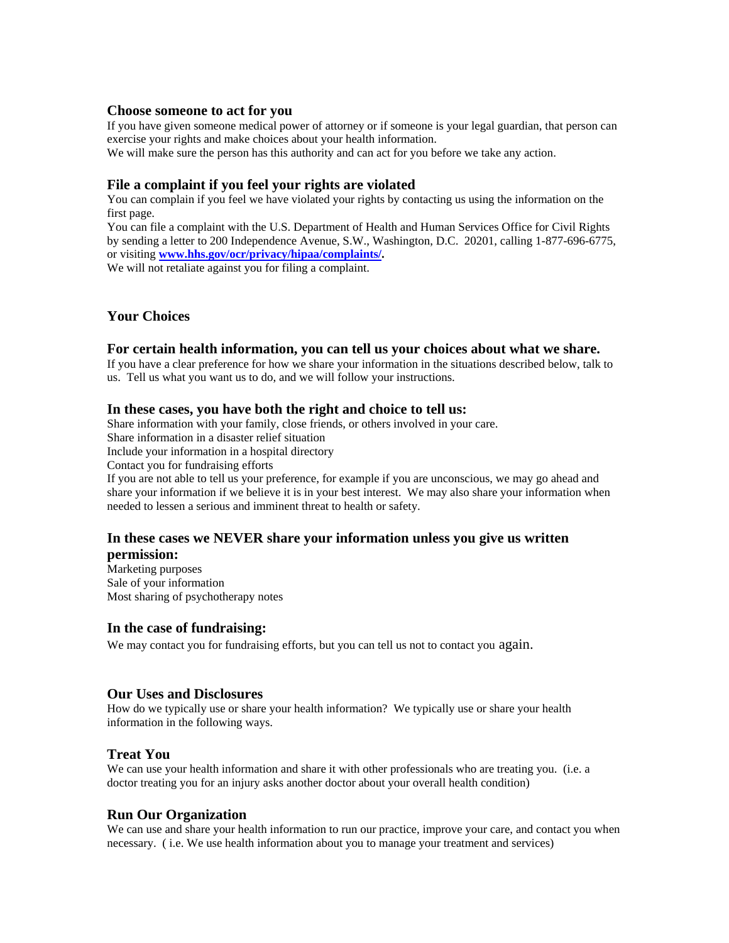#### **Choose someone to act for you**

If you have given someone medical power of attorney or if someone is your legal guardian, that person can exercise your rights and make choices about your health information.

We will make sure the person has this authority and can act for you before we take any action.

## **File a complaint if you feel your rights are violated**

You can complain if you feel we have violated your rights by contacting us using the information on the first page.

You can file a complaint with the U.S. Department of Health and Human Services Office for Civil Rights by sending a letter to 200 Independence Avenue, S.W., Washington, D.C. 20201, calling 1-877-696-6775, or visiting **[www.hhs.gov/ocr/privacy/hipaa/complaints/.](http://www.hhs.gov/ocr/privacy/hipaa/complaints/)**

We will not retaliate against you for filing a complaint.

## **Your Choices**

#### **For certain health information, you can tell us your choices about what we share.**

If you have a clear preference for how we share your information in the situations described below, talk to us. Tell us what you want us to do, and we will follow your instructions.

#### **In these cases, you have both the right and choice to tell us:**

Share information with your family, close friends, or others involved in your care.

Share information in a disaster relief situation

Include your information in a hospital directory

Contact you for fundraising efforts

If you are not able to tell us your preference, for example if you are unconscious, we may go ahead and share your information if we believe it is in your best interest. We may also share your information when needed to lessen a serious and imminent threat to health or safety.

## **In these cases we NEVER share your information unless you give us written permission:**

Marketing purposes Sale of your information Most sharing of psychotherapy notes

## **In the case of fundraising:**

We may contact you for fundraising efforts, but you can tell us not to contact you again.

## **Our Uses and Disclosures**

How do we typically use or share your health information? We typically use or share your health information in the following ways.

#### **Treat You**

We can use your health information and share it with other professionals who are treating you. (i.e. a doctor treating you for an injury asks another doctor about your overall health condition)

## **Run Our Organization**

We can use and share your health information to run our practice, improve your care, and contact you when necessary. ( i.e. We use health information about you to manage your treatment and services)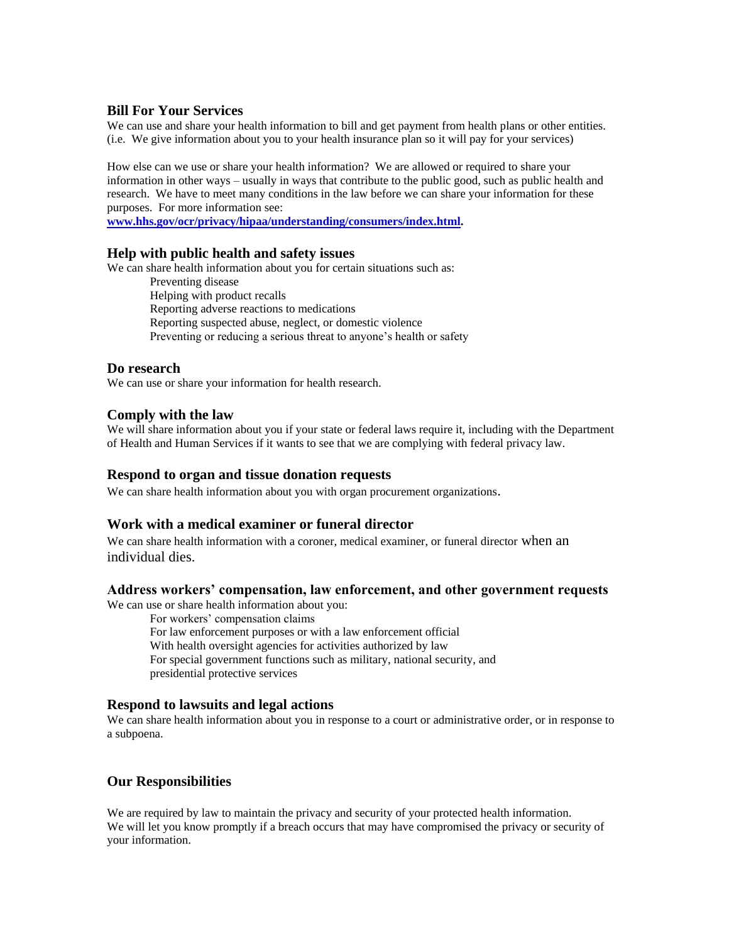## **Bill For Your Services**

We can use and share your health information to bill and get payment from health plans or other entities. (i.e. We give information about you to your health insurance plan so it will pay for your services)

How else can we use or share your health information? We are allowed or required to share your information in other ways – usually in ways that contribute to the public good, such as public health and research. We have to meet many conditions in the law before we can share your information for these purposes. For more information see:

**[www.hhs.gov/ocr/privacy/hipaa/understanding/consumers/index.html.](http://www.hhs.gov/ocr/privacy/hipaa/understanding/consumers/index.html)**

#### **Help with public health and safety issues**

We can share health information about you for certain situations such as:

Preventing disease Helping with product recalls Reporting adverse reactions to medications Reporting suspected abuse, neglect, or domestic violence Preventing or reducing a serious threat to anyone's health or safety

#### **Do research**

We can use or share your information for health research.

#### **Comply with the law**

We will share information about you if your state or federal laws require it, including with the Department of Health and Human Services if it wants to see that we are complying with federal privacy law.

#### **Respond to organ and tissue donation requests**

We can share health information about you with organ procurement organizations.

## **Work with a medical examiner or funeral director**

We can share health information with a coroner, medical examiner, or funeral director when an individual dies.

#### **Address workers' compensation, law enforcement, and other government requests**

We can use or share health information about you: For workers' compensation claims For law enforcement purposes or with a law enforcement official

With health oversight agencies for activities authorized by law

For special government functions such as military, national security, and presidential protective services

#### **Respond to lawsuits and legal actions**

We can share health information about you in response to a court or administrative order, or in response to a subpoena.

# **Our Responsibilities**

We are required by law to maintain the privacy and security of your protected health information. We will let you know promptly if a breach occurs that may have compromised the privacy or security of your information.